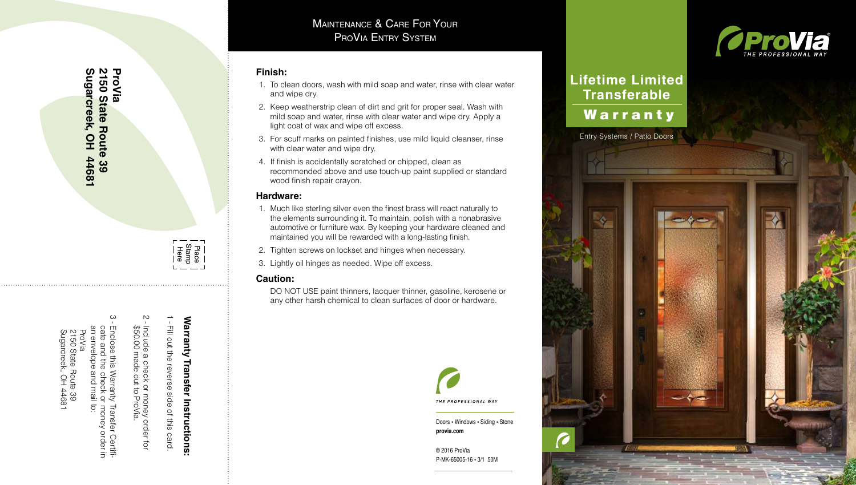## **Finish:**

- 1. To clean doors, wash with mild soap and water, rinse with clear water and wipe dry.
- 2. Keep weatherstrip clean of dirt and grit for proper seal. Wash with mild soap and water, rinse with clear water and wipe dry. Apply a light coat of wax and wipe off excess.
- 3. For scuff marks on painted finishes, use mild liquid cleanser, rinse with clear water and wipe dry.
- 4. If finish is accidentally scratched or chipped, clean as recommended above and use touch-up paint supplied or standard wood finish repair crayon.

## **Hardware:**

- 1. Much like sterling silver even the finest brass will react naturally to the elements surrounding it. To maintain, polish with a nonabrasive automotive or furniture wax. By keeping your hardware cleaned and maintained you will be rewarded with a long-lasting finish. **Example 19 System System**<br> **Example 19 System**<br> **And the microsety of the microsynchic surface of the microsynchetic conditions**<br> **Alternance weatherstrip clean of dirt and grit for proper seal. Wash with the midd soap an**
- 2. Tighten screws on lockset and hinges when necessary.
- 3. Lightly oil hinges as needed. Wipe off excess.

## **Caution:**

DO NOT USE paint thinners, lacquer thinner, gasoline, kerosene or



Doors • Windows • Siding • Stone **provia.com**

© 2016 ProVia P-MK-65005-16 • 3/1 50M



# **Lifetime Limited Transferable** Warranty

Entry Systems / Patio Doors



- Fill out the reverse side of this card.

ب<br>ا

\$50.00 made out to ProVia.

Include a check or money order for

Include a check or money order for<br>\$50.00 made out to ProVia.

Fill out the reverse side of this card.

**Warranty Transfer Instructions:**

Warranty Transfer Instructions:

an envelope and mail to: ProVia 2150 State Route 39<br>Sugarcreek, OH 44681 Sugarcreek, OH 44681 2150 State Route 39

cate and the check or money order in<br>an envelope and mail to: Enclose this Warranty Transfer Certifi-≣nclose this \<br>cate and the Warranty Transfer<br>echeck or money

er Certifi-<br>order in

**Sugarcreek, OH 44681**

**2150 State Route 39**

**2150 State Route 39** Sugarcreek, OH 44681

**ProVia**

م<br>י